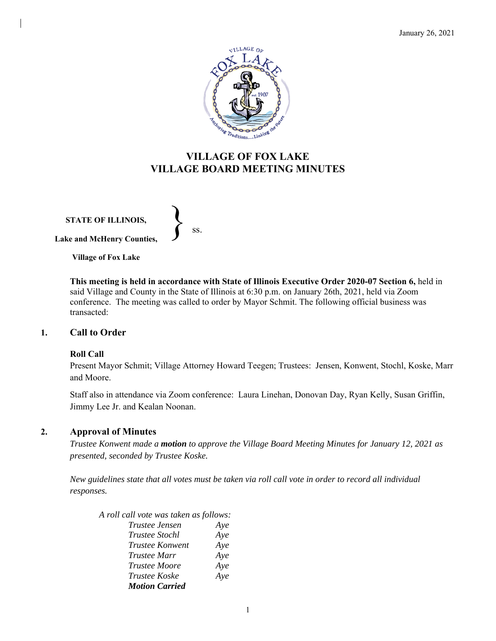

# **VILLAGE OF FOX LAKE VILLAGE BOARD MEETING MINUTES**

**STATE OF ILLINOIS, Lake and McHenry Counties,**   $\left\{\right\}$  ss.

**Village of Fox Lake**

**This meeting is held in accordance with State of Illinois Executive Order 2020-07 Section 6,** held in said Village and County in the State of Illinois at 6:30 p.m. on January 26th, 2021, held via Zoom conference. The meeting was called to order by Mayor Schmit. The following official business was transacted:

### **1. Call to Order**

#### **Roll Call**

Present Mayor Schmit; Village Attorney Howard Teegen; Trustees: Jensen, Konwent, Stochl, Koske, Marr and Moore.

Staff also in attendance via Zoom conference: Laura Linehan, Donovan Day, Ryan Kelly, Susan Griffin, Jimmy Lee Jr. and Kealan Noonan.

### **2. Approval of Minutes**

*Trustee Konwent made a motion to approve the Village Board Meeting Minutes for January 12, 2021 as presented, seconded by Trustee Koske.*

*New guidelines state that all votes must be taken via roll call vote in order to record all individual responses.*

| A roll call vote was taken as follows: |     |
|----------------------------------------|-----|
| <i>Trustee Jensen</i>                  | Aye |
| Trustee Stochl                         | Aye |
| Trustee Konwent                        | Aye |
| <i>Trustee Marr</i>                    | Aye |
| <b>Trustee Moore</b>                   | Aye |
| <i>Trustee Koske</i>                   | Aye |
| <b>Motion Carried</b>                  |     |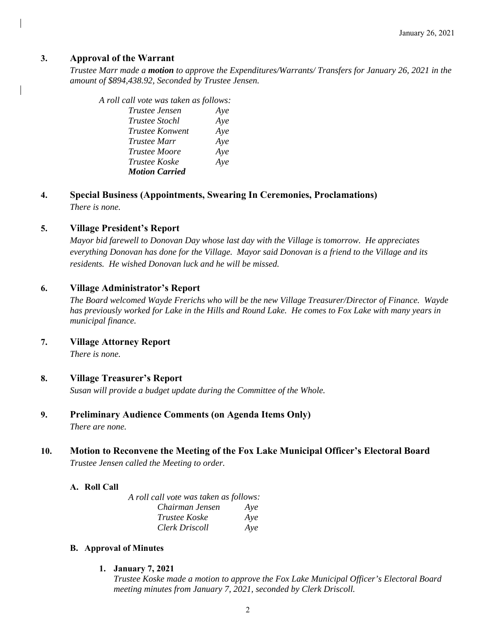### **3. Approval of the Warrant**

*Trustee Marr made a motion to approve the Expenditures/Warrants/ Transfers for January 26, 2021 in the amount of \$894,438.92, Seconded by Trustee Jensen.*

| A roll call vote was taken as follows: |     |
|----------------------------------------|-----|
| Trustee Jensen                         | Aye |
| <i>Trustee Stochl</i>                  | Aye |
| <i>Trustee Konwent</i>                 | Aye |
| <i>Trustee Marr</i>                    | Aye |
| <i>Trustee Moore</i>                   | Aye |
| <i>Trustee Koske</i>                   | Aye |
| <b>Motion Carried</b>                  |     |

**4. Special Business (Appointments, Swearing In Ceremonies, Proclamations)** *There is none.*

#### **5. Village President's Report**

*Mayor bid farewell to Donovan Day whose last day with the Village is tomorrow. He appreciates everything Donovan has done for the Village. Mayor said Donovan is a friend to the Village and its residents. He wished Donovan luck and he will be missed.*

#### **6. Village Administrator's Report**

*The Board welcomed Wayde Frerichs who will be the new Village Treasurer/Director of Finance. Wayde has previously worked for Lake in the Hills and Round Lake. He comes to Fox Lake with many years in municipal finance.*

**7. Village Attorney Report**

*There is none.*

#### **8. Village Treasurer's Report**

*Susan will provide a budget update during the Committee of the Whole.*

**9. Preliminary Audience Comments (on Agenda Items Only)**

*There are none.*

# **10. Motion to Reconvene the Meeting of the Fox Lake Municipal Officer's Electoral Board** *Trustee Jensen called the Meeting to order.*

#### **A. Roll Call**

| A roll call vote was taken as follows: |     |
|----------------------------------------|-----|
| Chairman Jensen                        | Ave |
| <i>Trustee Koske</i>                   | Ave |
| Clerk Driscoll                         | Aye |

#### **B. Approval of Minutes**

**1. January 7, 2021**

*Trustee Koske made a motion to approve the Fox Lake Municipal Officer's Electoral Board meeting minutes from January 7, 2021, seconded by Clerk Driscoll.*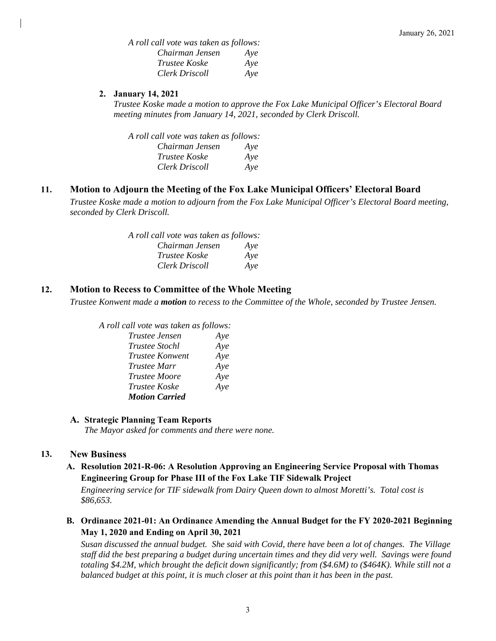*A roll call vote was taken as follows: Chairman Jensen Aye Trustee Koske Aye Clerk Driscoll Aye* 

#### **2. January 14, 2021**

*Trustee Koske made a motion to approve the Fox Lake Municipal Officer's Electoral Board meeting minutes from January 14, 2021, seconded by Clerk Driscoll.*

*A roll call vote was taken as follows: Chairman Jensen Aye Trustee Koske Aye Clerk Driscoll Aye* 

### **11. Motion to Adjourn the Meeting of the Fox Lake Municipal Officers' Electoral Board**

*Trustee Koske made a motion to adjourn from the Fox Lake Municipal Officer's Electoral Board meeting, seconded by Clerk Driscoll.*

| A roll call vote was taken as follows: |     |
|----------------------------------------|-----|
| Chairman Jensen                        | Aye |
| <i>Trustee Koske</i>                   | Ave |
| Clerk Driscoll                         | Ave |

### **12. Motion to Recess to Committee of the Whole Meeting**

*Trustee Konwent made a motion to recess to the Committee of the Whole, seconded by Trustee Jensen.*

| A roll call vote was taken as follows: |     |
|----------------------------------------|-----|
| Trustee Jensen                         | Aye |
| <i>Trustee Stochl</i>                  | Aye |
| Trustee Konwent                        | Aye |
| <i>Trustee Marr</i>                    | Aye |
| <i>Trustee Moore</i>                   | Aye |
| <i>Trustee Koske</i>                   | Aye |
| <b>Motion Carried</b>                  |     |

### **A. Strategic Planning Team Reports**

*The Mayor asked for comments and there were none.*

### **13. New Business**

**A. Resolution 2021-R-06: A Resolution Approving an Engineering Service Proposal with Thomas Engineering Group for Phase III of the Fox Lake TIF Sidewalk Project**

*Engineering service for TIF sidewalk from Dairy Queen down to almost Moretti's. Total cost is \$86,653.*

**B. Ordinance 2021-01: An Ordinance Amending the Annual Budget for the FY 2020-2021 Beginning May 1, 2020 and Ending on April 30, 2021**

*Susan discussed the annual budget. She said with Covid, there have been a lot of changes. The Village staff did the best preparing a budget during uncertain times and they did very well. Savings were found totaling \$4.2M, which brought the deficit down significantly; from (\$4.6M) to (\$464K). While still not a balanced budget at this point, it is much closer at this point than it has been in the past.*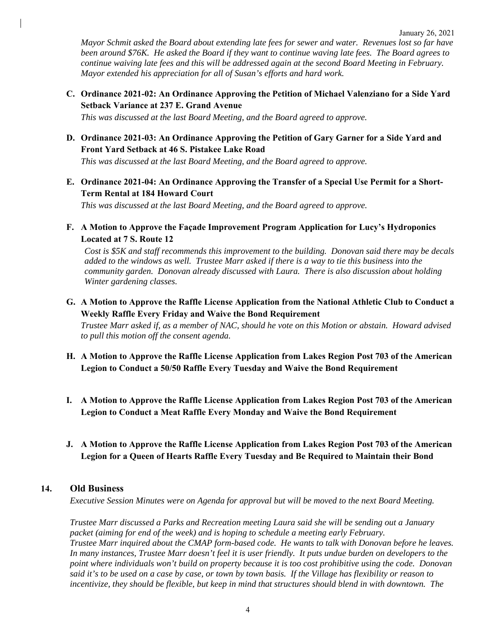*Mayor Schmit asked the Board about extending late fees for sewer and water. Revenues lost so far have been around \$76K. He asked the Board if they want to continue waving late fees. The Board agrees to continue waiving late fees and this will be addressed again at the second Board Meeting in February. Mayor extended his appreciation for all of Susan's efforts and hard work.* 

**C. Ordinance 2021-02: An Ordinance Approving the Petition of Michael Valenziano for a Side Yard Setback Variance at 237 E. Grand Avenue**

*This was discussed at the last Board Meeting, and the Board agreed to approve.*

**D. Ordinance 2021-03: An Ordinance Approving the Petition of Gary Garner for a Side Yard and Front Yard Setback at 46 S. Pistakee Lake Road**

*This was discussed at the last Board Meeting, and the Board agreed to approve.*

**E. Ordinance 2021-04: An Ordinance Approving the Transfer of a Special Use Permit for a Short-Term Rental at 184 Howard Court**

*This was discussed at the last Board Meeting, and the Board agreed to approve.*

**F. A Motion to Approve the Façade Improvement Program Application for Lucy's Hydroponics Located at 7 S. Route 12**

*Cost is \$5K and staff recommends this improvement to the building. Donovan said there may be decals added to the windows as well. Trustee Marr asked if there is a way to tie this business into the community garden. Donovan already discussed with Laura. There is also discussion about holding Winter gardening classes.*

**G. A Motion to Approve the Raffle License Application from the National Athletic Club to Conduct a Weekly Raffle Every Friday and Waive the Bond Requirement**

*Trustee Marr asked if, as a member of NAC, should he vote on this Motion or abstain. Howard advised to pull this motion off the consent agenda.*

- **H. A Motion to Approve the Raffle License Application from Lakes Region Post 703 of the American Legion to Conduct a 50/50 Raffle Every Tuesday and Waive the Bond Requirement**
- **I. A Motion to Approve the Raffle License Application from Lakes Region Post 703 of the American Legion to Conduct a Meat Raffle Every Monday and Waive the Bond Requirement**
- **J. A Motion to Approve the Raffle License Application from Lakes Region Post 703 of the American Legion for a Queen of Hearts Raffle Every Tuesday and Be Required to Maintain their Bond**

#### **14. Old Business**

*Executive Session Minutes were on Agenda for approval but will be moved to the next Board Meeting.*

*Trustee Marr discussed a Parks and Recreation meeting Laura said she will be sending out a January packet (aiming for end of the week) and is hoping to schedule a meeting early February. Trustee Marr inquired about the CMAP form-based code. He wants to talk with Donovan before he leaves. In many instances, Trustee Marr doesn't feel it is user friendly. It puts undue burden on developers to the point where individuals won't build on property because it is too cost prohibitive using the code. Donovan said it's to be used on a case by case, or town by town basis. If the Village has flexibility or reason to incentivize, they should be flexible, but keep in mind that structures should blend in with downtown. The*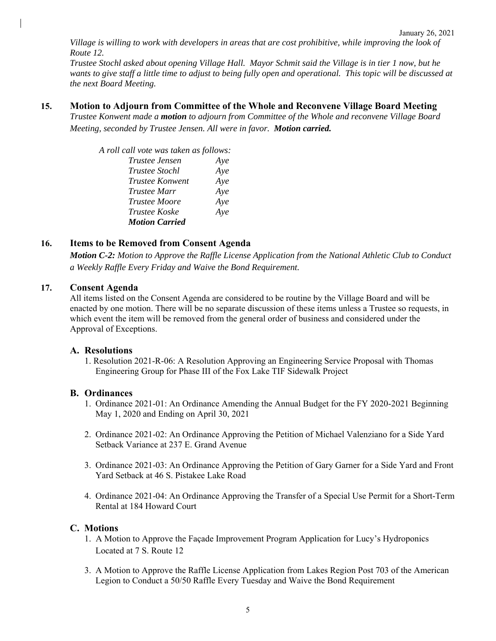*Village is willing to work with developers in areas that are cost prohibitive, while improving the look of Route 12.* 

*Trustee Stochl asked about opening Village Hall. Mayor Schmit said the Village is in tier 1 now, but he wants to give staff a little time to adjust to being fully open and operational. This topic will be discussed at the next Board Meeting.* 

**15. Motion to Adjourn from Committee of the Whole and Reconvene Village Board Meeting** *Trustee Konwent made a motion to adjourn from Committee of the Whole and reconvene Village Board Meeting, seconded by Trustee Jensen. All were in favor. Motion carried.*

| A roll call vote was taken as follows: |     |
|----------------------------------------|-----|
| Trustee Jensen                         | Aye |
| <i>Trustee Stochl</i>                  | Aye |
| Trustee Konwent                        | Aye |
| <i>Trustee Marr</i>                    | Aye |
| <b>Trustee Moore</b>                   | Aye |
| <i>Trustee Koske</i>                   | Aye |
| <b>Motion Carried</b>                  |     |

# **16. Items to be Removed from Consent Agenda**

*Motion C-2: Motion to Approve the Raffle License Application from the National Athletic Club to Conduct a Weekly Raffle Every Friday and Waive the Bond Requirement.*

### **17. Consent Agenda**

All items listed on the Consent Agenda are considered to be routine by the Village Board and will be enacted by one motion. There will be no separate discussion of these items unless a Trustee so requests, in which event the item will be removed from the general order of business and considered under the Approval of Exceptions.

### **A. Resolutions**

1. Resolution 2021-R-06: A Resolution Approving an Engineering Service Proposal with Thomas Engineering Group for Phase III of the Fox Lake TIF Sidewalk Project

### **B. Ordinances**

- 1. Ordinance 2021-01: An Ordinance Amending the Annual Budget for the FY 2020-2021 Beginning May 1, 2020 and Ending on April 30, 2021
- 2. Ordinance 2021-02: An Ordinance Approving the Petition of Michael Valenziano for a Side Yard Setback Variance at 237 E. Grand Avenue
- 3. Ordinance 2021-03: An Ordinance Approving the Petition of Gary Garner for a Side Yard and Front Yard Setback at 46 S. Pistakee Lake Road
- 4. Ordinance 2021-04: An Ordinance Approving the Transfer of a Special Use Permit for a Short-Term Rental at 184 Howard Court

### **C. Motions**

- 1. A Motion to Approve the Façade Improvement Program Application for Lucy's Hydroponics Located at 7 S. Route 12
- 3. A Motion to Approve the Raffle License Application from Lakes Region Post 703 of the American Legion to Conduct a 50/50 Raffle Every Tuesday and Waive the Bond Requirement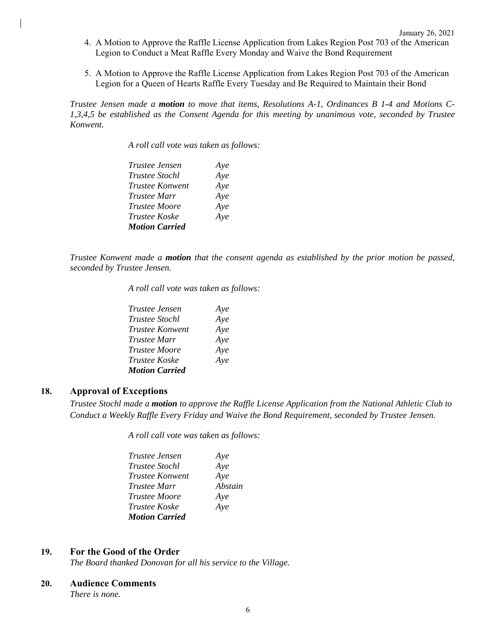- 4. A Motion to Approve the Raffle License Application from Lakes Region Post 703 of the American Legion to Conduct a Meat Raffle Every Monday and Waive the Bond Requirement
- 5. A Motion to Approve the Raffle License Application from Lakes Region Post 703 of the American Legion for a Queen of Hearts Raffle Every Tuesday and Be Required to Maintain their Bond

*Trustee Jensen made a motion to move that items, Resolutions A-1, Ordinances B 1-4 and Motions C-1,3,4,5 be established as the Consent Agenda for this meeting by unanimous vote, seconded by Trustee Konwent.* 

*A roll call vote was taken as follows:* 

| <i>Trustee Jensen</i> | Aye |
|-----------------------|-----|
| <b>Trustee Stochl</b> | Aye |
| Trustee Konwent       | Aye |
| Trustee Marr          | Aye |
| <b>Trustee Moore</b>  | Aye |
| <i>Trustee Koske</i>  | Aye |
| <b>Motion Carried</b> |     |

*Trustee Konwent made a motion that the consent agenda as established by the prior motion be passed, seconded by Trustee Jensen.* 

*A roll call vote was taken as follows:* 

| Trustee Jensen        | Aye |
|-----------------------|-----|
| <i>Trustee Stochl</i> | Aye |
| Trustee Konwent       | Aye |
| Trustee Marr          | Aye |
| <i>Trustee Moore</i>  | Aye |
| Trustee Koske         | Aye |
| <b>Motion Carried</b> |     |

#### **18. Approval of Exceptions**

*Trustee Stochl made a motion to approve the Raffle License Application from the National Athletic Club to Conduct a Weekly Raffle Every Friday and Waive the Bond Requirement, seconded by Trustee Jensen.*

*A roll call vote was taken as follows:* 

| <i>Trustee Jensen</i> | Aye     |
|-----------------------|---------|
| <i>Trustee Stochl</i> | Aye     |
| Trustee Konwent       | Aye     |
| <i>Trustee Marr</i>   | Abstain |
| <i>Trustee Moore</i>  | Aye     |
| <i>Trustee Koske</i>  | Aye     |
| <b>Motion Carried</b> |         |

#### **19. For the Good of the Order**

*The Board thanked Donovan for all his service to the Village.*

#### **20. Audience Comments**

*There is none.*